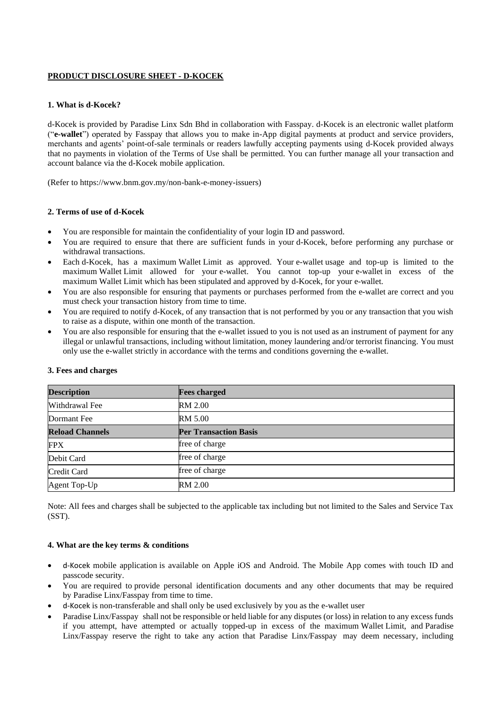## **PRODUCT DISCLOSURE SHEET - D-KOCEK**

#### **1. What is d-Kocek?**

d-Kocek is provided by Paradise Linx Sdn Bhd in collaboration with Fasspay. d-Kocek is an electronic wallet platform ("**e-wallet**") operated by Fasspay that allows you to make in-App digital payments at product and service providers, merchants and agents' point-of-sale terminals or readers lawfully accepting payments using d-Kocek provided always that no payments in violation of the Terms of Use shall be permitted. You can further manage all your transaction and account balance via the d-Kocek mobile application.

(Refer to https://www.bnm.gov.my/non-bank-e-money-issuers)

#### **2. Terms of use of d-Kocek**

- You are responsible for maintain the confidentiality of your login ID and password.
- You are required to ensure that there are sufficient funds in your d-Kocek, before performing any purchase or withdrawal transactions.
- Each d-Kocek, has a maximum Wallet Limit as approved. Your e-wallet usage and top-up is limited to the maximum Wallet Limit allowed for your e-wallet. You cannot top-up your e-wallet in excess of the maximum Wallet Limit which has been stipulated and approved by d-Kocek, for your e-wallet.
- You are also responsible for ensuring that payments or purchases performed from the e-wallet are correct and you must check your transaction history from time to time.
- You are required to notify d-Kocek, of any transaction that is not performed by you or any transaction that you wish to raise as a dispute, within one month of the transaction.
- You are also responsible for ensuring that the e-wallet issued to you is not used as an instrument of payment for any illegal or unlawful transactions, including without limitation, money laundering and/or terrorist financing. You must only use the e-wallet strictly in accordance with the terms and conditions governing the e-wallet.

| <b>Description</b>     | <b>Fees charged</b>          |
|------------------------|------------------------------|
| Withdrawal Fee         | RM 2.00                      |
| Dormant Fee            | <b>RM 5.00</b>               |
| <b>Reload Channels</b> | <b>Per Transaction Basis</b> |
| <b>FPX</b>             | free of charge               |
| Debit Card             | free of charge               |
| Credit Card            | free of charge               |
| Agent Top-Up           | <b>RM 2.00</b>               |

#### **3. Fees and charges**

Note: All fees and charges shall be subjected to the applicable tax including but not limited to the Sales and Service Tax (SST).

#### **4. What are the key terms & conditions**

- d-Kocek mobile application is available on Apple iOS and Android. The Mobile App comes with touch ID and passcode security.
- You are required to provide personal identification documents and any other documents that may be required by Paradise Linx/Fasspay from time to time.
- d-Kocek is non-transferable and shall only be used exclusively by you as the e-wallet user
- Paradise Linx/Fasspay shall not be responsible or held liable for any disputes (or loss) in relation to any excess funds if you attempt, have attempted or actually topped-up in excess of the maximum Wallet Limit, and Paradise Linx/Fasspay reserve the right to take any action that Paradise Linx/Fasspay may deem necessary, including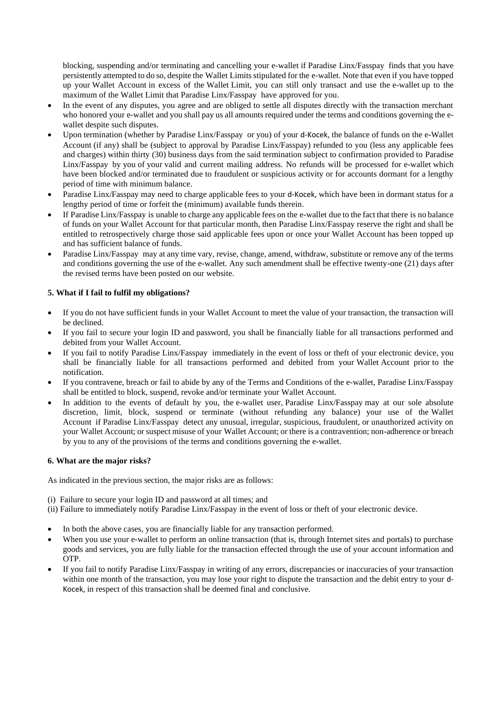blocking, suspending and/or terminating and cancelling your e-wallet if Paradise Linx/Fasspay finds that you have persistently attempted to do so, despite the Wallet Limits stipulated for the e-wallet. Note that even if you have topped up your Wallet Account in excess of the Wallet Limit, you can still only transact and use the e-wallet up to the maximum of the Wallet Limit that Paradise Linx/Fasspay have approved for you.

- In the event of any disputes, you agree and are obliged to settle all disputes directly with the transaction merchant who honored your e-wallet and you shall pay us all amounts required under the terms and conditions governing the ewallet despite such disputes.
- Upon termination (whether by Paradise Linx/Fasspay or you) of your d-Kocek, the balance of funds on the e-Wallet Account (if any) shall be (subject to approval by Paradise Linx/Fasspay) refunded to you (less any applicable fees and charges) within thirty (30) business days from the said termination subject to confirmation provided to Paradise Linx/Fasspay by you of your valid and current mailing address. No refunds will be processed for e-wallet which have been blocked and/or terminated due to fraudulent or suspicious activity or for accounts dormant for a lengthy period of time with minimum balance.
- Paradise Linx/Fasspay may need to charge applicable fees to your d-Kocek, which have been in dormant status for a lengthy period of time or forfeit the (minimum) available funds therein.
- If Paradise Linx/Fasspay is unable to charge any applicable fees on the e-wallet due to the fact that there is no balance of funds on your Wallet Account for that particular month, then Paradise Linx/Fasspay reserve the right and shall be entitled to retrospectively charge those said applicable fees upon or once your Wallet Account has been topped up and has sufficient balance of funds.
- Paradise Linx/Fasspay may at any time vary, revise, change, amend, withdraw, substitute or remove any of the terms and conditions governing the use of the e-wallet. Any such amendment shall be effective twenty-one (21) days after the revised terms have been posted on our website.

# **5. What if I fail to fulfil my obligations?**

- If you do not have sufficient funds in your Wallet Account to meet the value of your transaction, the transaction will be declined.
- If you fail to secure your login ID and password, you shall be financially liable for all transactions performed and debited from your Wallet Account.
- If you fail to notify Paradise Linx/Fasspay immediately in the event of loss or theft of your electronic device, you shall be financially liable for all transactions performed and debited from your Wallet Account prior to the notification.
- If you contravene, breach or fail to abide by any of the Terms and Conditions of the e-wallet, Paradise Linx/Fasspay shall be entitled to block, suspend, revoke and/or terminate your Wallet Account.
- In addition to the events of default by you, the e-wallet user, Paradise Linx/Fasspay may at our sole absolute discretion, limit, block, suspend or terminate (without refunding any balance) your use of the Wallet Account if Paradise Linx/Fasspay detect any unusual, irregular, suspicious, fraudulent, or unauthorized activity on your Wallet Account; or suspect misuse of your Wallet Account; or there is a contravention; non-adherence or breach by you to any of the provisions of the terms and conditions governing the e-wallet.

#### **6. What are the major risks?**

As indicated in the previous section, the major risks are as follows:

(i) Failure to secure your login ID and password at all times; and

(ii) Failure to immediately notify Paradise Linx/Fasspay in the event of loss or theft of your electronic device.

- In both the above cases, you are financially liable for any transaction performed.
- When you use your e-wallet to perform an online transaction (that is, through Internet sites and portals) to purchase goods and services, you are fully liable for the transaction effected through the use of your account information and OTP.
- If you fail to notify Paradise Linx/Fasspay in writing of any errors, discrepancies or inaccuracies of your transaction within one month of the transaction, you may lose your right to dispute the transaction and the debit entry to your d-Kocek, in respect of this transaction shall be deemed final and conclusive.